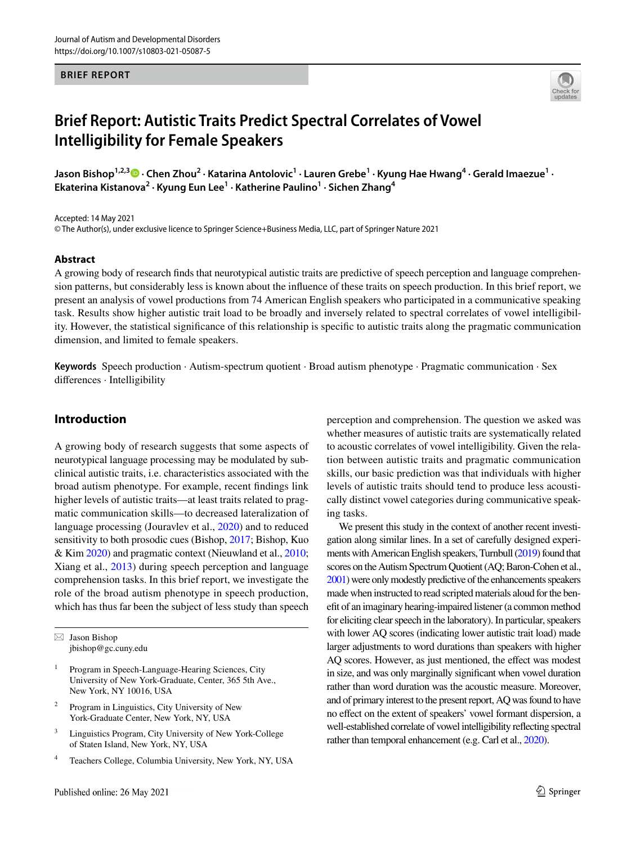#### **BRIEF REPORT**



# **Brief Report: Autistic Traits Predict Spectral Correlates of Vowel Intelligibility for Female Speakers**

**Jason Bishop1,2,3  [·](http://orcid.org/0000-0001-7346-9836) Chen Zhou2 · Katarina Antolovic1 · Lauren Grebe1 · Kyung Hae Hwang4 · Gerald Imaezue1 · Ekaterina Kistanova2 · Kyung Eun Lee1 · Katherine Paulino1 · Sichen Zhang4**

Accepted: 14 May 2021

© The Author(s), under exclusive licence to Springer Science+Business Media, LLC, part of Springer Nature 2021

#### **Abstract**

A growing body of research fnds that neurotypical autistic traits are predictive of speech perception and language comprehension patterns, but considerably less is known about the infuence of these traits on speech production. In this brief report, we present an analysis of vowel productions from 74 American English speakers who participated in a communicative speaking task. Results show higher autistic trait load to be broadly and inversely related to spectral correlates of vowel intelligibility. However, the statistical signifcance of this relationship is specifc to autistic traits along the pragmatic communication dimension, and limited to female speakers.

**Keywords** Speech production · Autism-spectrum quotient · Broad autism phenotype · Pragmatic communication · Sex diferences · Intelligibility

## **Introduction**

A growing body of research suggests that some aspects of neurotypical language processing may be modulated by subclinical autistic traits, i.e. characteristics associated with the broad autism phenotype. For example, recent fndings link higher levels of autistic traits—at least traits related to pragmatic communication skills—to decreased lateralization of language processing (Jouravlev et al., [2020](#page-5-0)) and to reduced sensitivity to both prosodic cues (Bishop, [2017;](#page-5-1) Bishop, Kuo & Kim [2020](#page-5-2)) and pragmatic context (Nieuwland et al., [2010](#page-5-3); Xiang et al., [2013](#page-5-4)) during speech perception and language comprehension tasks. In this brief report, we investigate the role of the broad autism phenotype in speech production, which has thus far been the subject of less study than speech

 $\boxtimes$  Jason Bishop jbishop@gc.cuny.edu

- <sup>1</sup> Program in Speech-Language-Hearing Sciences, City University of New York-Graduate, Center, 365 5th Ave., New York, NY 10016, USA
- <sup>2</sup> Program in Linguistics, City University of New York-Graduate Center, New York, NY, USA
- <sup>3</sup> Linguistics Program, City University of New York-College of Staten Island, New York, NY, USA
- Teachers College, Columbia University, New York, NY, USA

perception and comprehension. The question we asked was whether measures of autistic traits are systematically related to acoustic correlates of vowel intelligibility. Given the relation between autistic traits and pragmatic communication skills, our basic prediction was that individuals with higher levels of autistic traits should tend to produce less acoustically distinct vowel categories during communicative speaking tasks.

We present this study in the context of another recent investigation along similar lines. In a set of carefully designed experiments with American English speakers, Turnbull [\(2019](#page-5-5)) found that scores on the Autism Spectrum Quotient (AQ; Baron-Cohen et al., [2001](#page-5-6)) were only modestly predictive of the enhancements speakers made when instructed to read scripted materials aloud for the beneft of an imaginary hearing-impaired listener (a common method for eliciting clear speech in the laboratory). In particular, speakers with lower AQ scores (indicating lower autistic trait load) made larger adjustments to word durations than speakers with higher AQ scores. However, as just mentioned, the effect was modest in size, and was only marginally signifcant when vowel duration rather than word duration was the acoustic measure. Moreover, and of primary interest to the present report, AQ was found to have no efect on the extent of speakers' vowel formant dispersion, a well-established correlate of vowel intelligibility refecting spectral rather than temporal enhancement (e.g. Carl et al., [2020](#page-5-7)).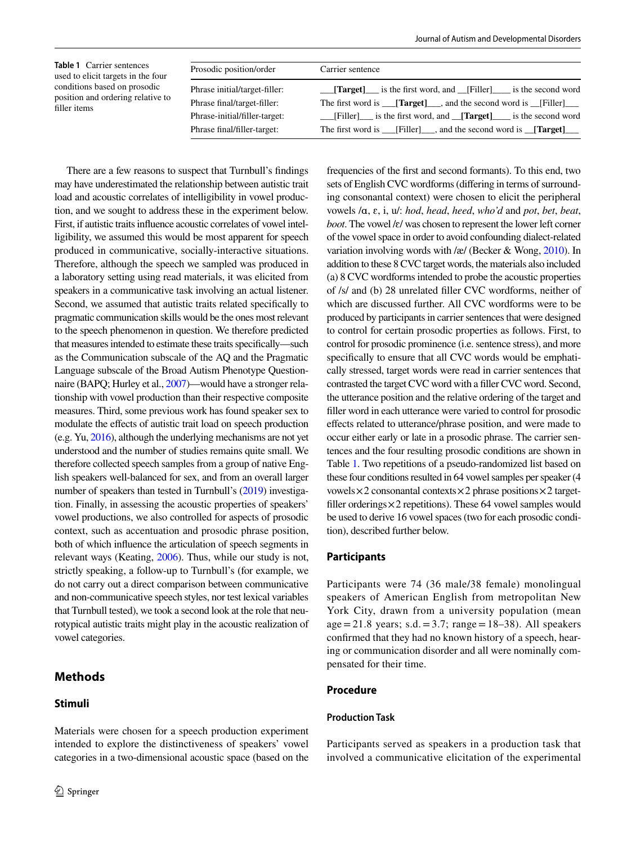<span id="page-1-0"></span>

| <b>Table 1</b> Carrier sentences<br>used to elicit targets in the four<br>conditions based on prosodic<br>position and ordering relative to<br>filler items | Prosodic position/order       | Carrier sentence                                                             |
|-------------------------------------------------------------------------------------------------------------------------------------------------------------|-------------------------------|------------------------------------------------------------------------------|
|                                                                                                                                                             | Phrase initial/target-filler: | <b>Target</b> is the first word, and Filler is the second word               |
|                                                                                                                                                             | Phrase final/target-filler:   | The first word is <b>Target</b> and the second word is Filler                |
|                                                                                                                                                             | Phrase-initial/filler-target: | [Filler] is the first word, and <b>[Target]</b> is the second word           |
|                                                                                                                                                             | Phrase final/filler-target:   | The first word is ____[Filler]____, and the second word is ____[Target]_____ |

There are a few reasons to suspect that Turnbull's fndings may have underestimated the relationship between autistic trait load and acoustic correlates of intelligibility in vowel production, and we sought to address these in the experiment below. First, if autistic traits infuence acoustic correlates of vowel intelligibility, we assumed this would be most apparent for speech produced in communicative, socially-interactive situations. Therefore, although the speech we sampled was produced in a laboratory setting using read materials, it was elicited from speakers in a communicative task involving an actual listener. Second, we assumed that autistic traits related specifcally to pragmatic communication skills would be the ones most relevant to the speech phenomenon in question. We therefore predicted that measures intended to estimate these traits specifcally—such as the Communication subscale of the AQ and the Pragmatic Language subscale of the Broad Autism Phenotype Questionnaire (BAPQ; Hurley et al., [2007\)](#page-5-8)—would have a stronger relationship with vowel production than their respective composite measures. Third, some previous work has found speaker sex to modulate the efects of autistic trait load on speech production (e.g. Yu, [2016\)](#page-5-9), although the underlying mechanisms are not yet understood and the number of studies remains quite small. We therefore collected speech samples from a group of native English speakers well-balanced for sex, and from an overall larger number of speakers than tested in Turnbull's [\(2019\)](#page-5-5) investigation. Finally, in assessing the acoustic properties of speakers' vowel productions, we also controlled for aspects of prosodic context, such as accentuation and prosodic phrase position, both of which infuence the articulation of speech segments in relevant ways (Keating, [2006\)](#page-5-10). Thus, while our study is not, strictly speaking, a follow-up to Turnbull's (for example, we do not carry out a direct comparison between communicative and non-communicative speech styles, nor test lexical variables that Turnbull tested), we took a second look at the role that neurotypical autistic traits might play in the acoustic realization of vowel categories.

# **Methods**

## **Stimuli**

Materials were chosen for a speech production experiment intended to explore the distinctiveness of speakers' vowel categories in a two-dimensional acoustic space (based on the frequencies of the frst and second formants). To this end, two sets of English CVC wordforms (difering in terms of surrounding consonantal context) were chosen to elicit the peripheral vowels /ɑ, ɛ, i, u/: *hod*, *head*, *heed*, *who'd* and *pot*, *bet*, *beat*, *boot*. The vowel /ɛ/ was chosen to represent the lower left corner of the vowel space in order to avoid confounding dialect-related variation involving words with /æ/ (Becker & Wong, [2010](#page-5-11)). In addition to these 8 CVC target words, the materials also included (a) 8 CVC wordforms intended to probe the acoustic properties of /s/ and (b) 28 unrelated fller CVC wordforms, neither of which are discussed further. All CVC wordforms were to be produced by participants in carrier sentences that were designed to control for certain prosodic properties as follows. First, to control for prosodic prominence (i.e. sentence stress), and more specifcally to ensure that all CVC words would be emphatically stressed, target words were read in carrier sentences that contrasted the target CVC word with a fller CVC word. Second, the utterance position and the relative ordering of the target and fller word in each utterance were varied to control for prosodic efects related to utterance/phrase position, and were made to occur either early or late in a prosodic phrase. The carrier sentences and the four resulting prosodic conditions are shown in Table [1.](#page-1-0) Two repetitions of a pseudo-randomized list based on these four conditions resulted in 64 vowel samples per speaker (4 vowels $\times$ 2 consonantal contexts $\times$ 2 phrase positions $\times$ 2 targetfiller orderings $\times$ 2 repetitions). These 64 vowel samples would be used to derive 16 vowel spaces (two for each prosodic condition), described further below.

#### **Participants**

Participants were 74 (36 male/38 female) monolingual speakers of American English from metropolitan New York City, drawn from a university population (mean age=21.8 years; s.d. = 3.7; range =  $18-38$ ). All speakers confrmed that they had no known history of a speech, hearing or communication disorder and all were nominally compensated for their time.

## **Procedure**

#### **Production Task**

Participants served as speakers in a production task that involved a communicative elicitation of the experimental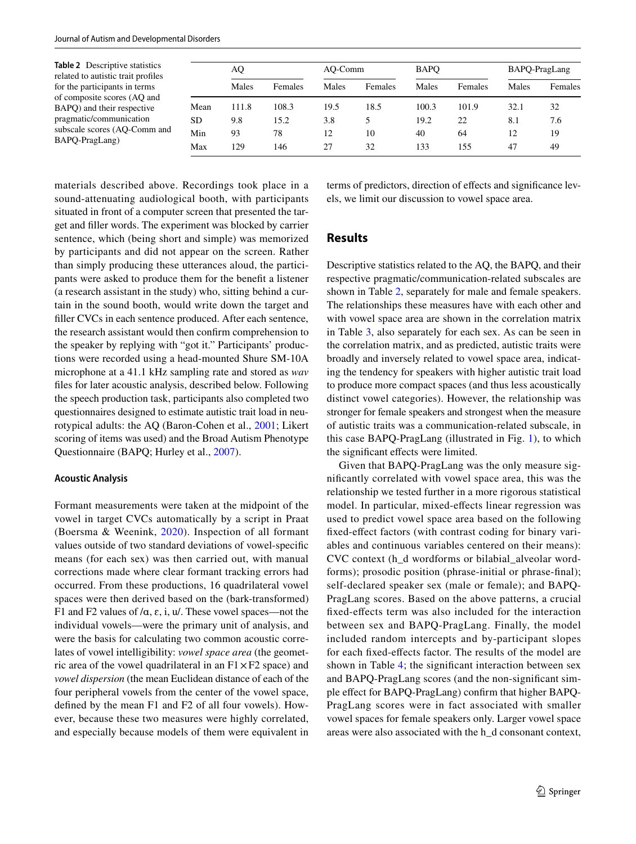<span id="page-2-0"></span>

| Table 2 Descriptive statistics<br>related to autistic trait profiles |      | AQ    |         | AO-Comm |         | <b>BAPO</b> |         | BAPQ-PragLang |         |
|----------------------------------------------------------------------|------|-------|---------|---------|---------|-------------|---------|---------------|---------|
| for the participants in terms                                        |      | Males | Females | Males   | Females | Males       | Females | Males         | Females |
| of composite scores (AQ and<br>BAPQ) and their respective            | Mean | 111.8 | 108.3   | 19.5    | 18.5    | 100.3       | 101.9   | 32.1          | 32      |
| pragmatic/communication                                              | SD   | 9.8   | 15.2    | 3.8     |         | 19.2        | 22      | 8.1           | 7.6     |
| subscale scores (AQ-Comm and                                         | Min  | 93    | 78      | 12      | 10      | 40          | 64      | 12            | 19      |
| BAPQ-PragLang)                                                       | Max  | 129   | 146     | 27      | 32      | 133         | 155     | 47            | 49      |

materials described above. Recordings took place in a sound-attenuating audiological booth, with participants situated in front of a computer screen that presented the target and fller words. The experiment was blocked by carrier sentence, which (being short and simple) was memorized by participants and did not appear on the screen. Rather than simply producing these utterances aloud, the participants were asked to produce them for the beneft a listener (a research assistant in the study) who, sitting behind a curtain in the sound booth, would write down the target and filler CVCs in each sentence produced. After each sentence, the research assistant would then confrm comprehension to the speaker by replying with "got it." Participants' productions were recorded using a head-mounted Shure SM-10A microphone at a 41.1 kHz sampling rate and stored as *wav* fles for later acoustic analysis, described below. Following the speech production task, participants also completed two questionnaires designed to estimate autistic trait load in neurotypical adults: the AQ (Baron-Cohen et al., [2001;](#page-5-6) Likert scoring of items was used) and the Broad Autism Phenotype Questionnaire (BAPQ; Hurley et al., [2007](#page-5-8)).

#### **Acoustic Analysis**

Formant measurements were taken at the midpoint of the vowel in target CVCs automatically by a script in Praat (Boersma & Weenink, [2020\)](#page-5-12). Inspection of all formant values outside of two standard deviations of vowel-specifc means (for each sex) was then carried out, with manual corrections made where clear formant tracking errors had occurred. From these productions, 16 quadrilateral vowel spaces were then derived based on the (bark-transformed) F1 and F2 values of  $/\alpha$ ,  $\varepsilon$ , i,  $u$ . These vowel spaces—not the individual vowels—were the primary unit of analysis, and were the basis for calculating two common acoustic correlates of vowel intelligibility: *vowel space area* (the geometric area of the vowel quadrilateral in an  $F1 \times F2$  space) and *vowel dispersion* (the mean Euclidean distance of each of the four peripheral vowels from the center of the vowel space, defned by the mean F1 and F2 of all four vowels). However, because these two measures were highly correlated, and especially because models of them were equivalent in terms of predictors, direction of efects and signifcance levels, we limit our discussion to vowel space area.

## **Results**

Descriptive statistics related to the AQ, the BAPQ, and their respective pragmatic/communication-related subscales are shown in Table [2,](#page-2-0) separately for male and female speakers. The relationships these measures have with each other and with vowel space area are shown in the correlation matrix in Table [3,](#page-3-0) also separately for each sex. As can be seen in the correlation matrix, and as predicted, autistic traits were broadly and inversely related to vowel space area, indicating the tendency for speakers with higher autistic trait load to produce more compact spaces (and thus less acoustically distinct vowel categories). However, the relationship was stronger for female speakers and strongest when the measure of autistic traits was a communication-related subscale, in this case BAPQ-PragLang (illustrated in Fig. [1\)](#page-3-1), to which the signifcant efects were limited.

Given that BAPQ-PragLang was the only measure signifcantly correlated with vowel space area, this was the relationship we tested further in a more rigorous statistical model. In particular, mixed-efects linear regression was used to predict vowel space area based on the following fixed-effect factors (with contrast coding for binary variables and continuous variables centered on their means): CVC context (h\_d wordforms or bilabial\_alveolar wordforms); prosodic position (phrase-initial or phrase-fnal); self-declared speaker sex (male or female); and BAPQ-PragLang scores. Based on the above patterns, a crucial fxed-efects term was also included for the interaction between sex and BAPQ-PragLang. Finally, the model included random intercepts and by-participant slopes for each fxed-efects factor. The results of the model are shown in Table [4](#page-4-0); the significant interaction between sex and BAPQ-PragLang scores (and the non-signifcant simple efect for BAPQ-PragLang) confrm that higher BAPQ-PragLang scores were in fact associated with smaller vowel spaces for female speakers only. Larger vowel space areas were also associated with the h\_d consonant context,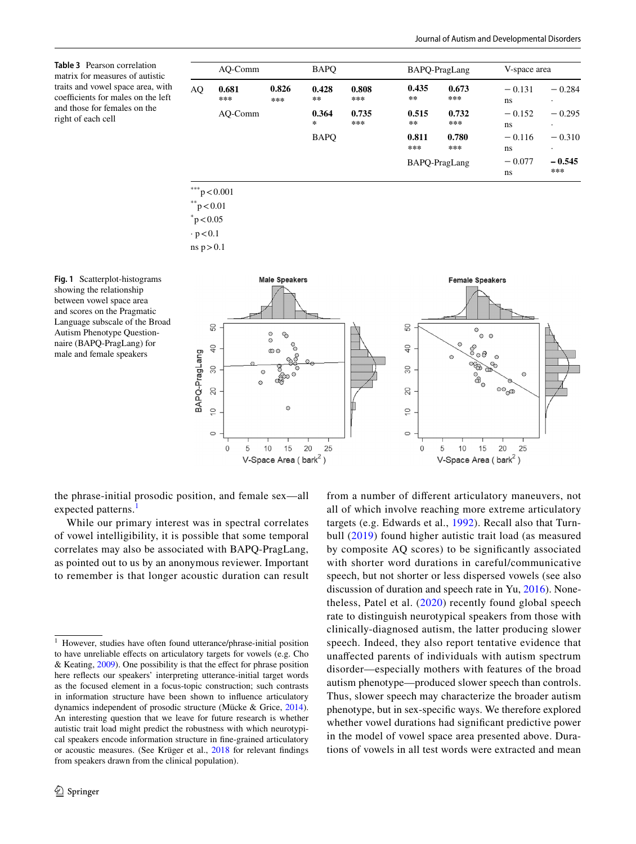<span id="page-3-0"></span>**Table 3** Pearson correlation matrix for measures of autistic traits and vowel space area, with coefficients for males on the left and those for females on the right of each cell

| AO-Comm |                | <b>BAPO</b>    |                  |                | BAPQ-PragLang  |                | V-space area   |                       |  |
|---------|----------------|----------------|------------------|----------------|----------------|----------------|----------------|-----------------------|--|
| AQ      | 0.681<br>$***$ | 0.826<br>$***$ | 0.428<br>$* *$   | 0.808<br>$***$ | 0.435<br>$* *$ | 0.673<br>$***$ | $-0.131$<br>ns | $-0.284$<br>$\bullet$ |  |
|         | AO-Comm        |                | 0.364<br>$\star$ | 0.735<br>$***$ | 0.515<br>$* *$ | 0.732<br>$***$ | $-0.152$<br>ns | $-0.295$<br>٠         |  |
|         |                |                | <b>BAPO</b>      |                | 0.811<br>***   | 0.780<br>$***$ | $-0.116$<br>ns | $-0.310$<br>$\cdot$   |  |
|         |                |                |                  |                | BAPQ-PragLang  |                | $-0.077$<br>ns | $-0.545$<br>$***$     |  |

 $\degree$ p < 0.05

 $\cdot p < 0.1$ 

ns  $p > 0.1$ 

<span id="page-3-1"></span>**Fig. 1** Scatterplot-histograms showing the relationship between vowel space area and scores on the Pragmatic Language subscale of the Broad Autism Phenotype Questionnaire (BAPQ-PragLang) for male and female speakers



the phrase-initial prosodic position, and female sex—all expected patterns.<sup>[1](#page-3-2)</sup>

While our primary interest was in spectral correlates of vowel intelligibility, it is possible that some temporal correlates may also be associated with BAPQ-PragLang, as pointed out to us by an anonymous reviewer. Important to remember is that longer acoustic duration can result from a number of diferent articulatory maneuvers, not all of which involve reaching more extreme articulatory targets (e.g. Edwards et al., [1992](#page-5-13)). Recall also that Turnbull ([2019](#page-5-5)) found higher autistic trait load (as measured by composite AQ scores) to be signifcantly associated with shorter word durations in careful/communicative speech, but not shorter or less dispersed vowels (see also discussion of duration and speech rate in Yu, [2016\)](#page-5-9). Nonetheless, Patel et al. ([2020\)](#page-5-14) recently found global speech rate to distinguish neurotypical speakers from those with clinically-diagnosed autism, the latter producing slower speech. Indeed, they also report tentative evidence that unafected parents of individuals with autism spectrum disorder—especially mothers with features of the broad autism phenotype—produced slower speech than controls. Thus, slower speech may characterize the broader autism phenotype, but in sex-specifc ways. We therefore explored whether vowel durations had signifcant predictive power in the model of vowel space area presented above. Durations of vowels in all test words were extracted and mean

<span id="page-3-2"></span><sup>1</sup> However, studies have often found utterance/phrase-initial position to have unreliable efects on articulatory targets for vowels (e.g. Cho & Keating, [2009\)](#page-5-15). One possibility is that the efect for phrase position here refects our speakers' interpreting utterance-initial target words as the focused element in a focus-topic construction; such contrasts in information structure have been shown to infuence articulatory dynamics independent of prosodic structure (Mücke & Grice, [2014](#page-5-16)). An interesting question that we leave for future research is whether autistic trait load might predict the robustness with which neurotypical speakers encode information structure in fne-grained articulatory or acoustic measures. (See Krüger et al., [2018](#page-5-17) for relevant fndings from speakers drawn from the clinical population).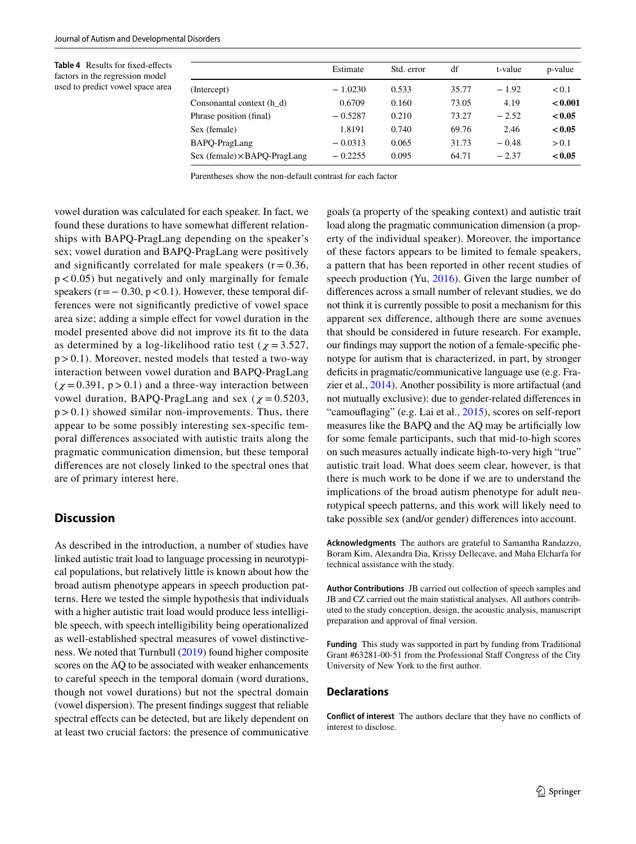<span id="page-4-0"></span>**Table 4** Results for fxed-efects factors in the regression model used to predict vowel space area

|                                     | Estimate  | Std. error | df    | t-value | p-value |
|-------------------------------------|-----------|------------|-------|---------|---------|
| (Intercept)                         | $-1.0230$ | 0.533      | 35.77 | $-1.92$ | < 0.1   |
| Consonantal context (h d)           | 0.6709    | 0.160      | 73.05 | 4.19    | < 0.001 |
| Phrase position (final)             | $-0.5287$ | 0.210      | 73.27 | $-2.52$ | < 0.05  |
| Sex (female)                        | 1.8191    | 0.740      | 69.76 | 2.46    | < 0.05  |
| BAPO-PragLang                       | $-0.0313$ | 0.065      | 31.73 | $-0.48$ | > 0.1   |
| $Sex (female) \times BAPO-PragLang$ | $-0.2255$ | 0.095      | 64.71 | $-2.37$ | < 0.05  |

Parentheses show the non-default contrast for each factor

vowel duration was calculated for each speaker. In fact, we found these durations to have somewhat diferent relationships with BAPQ-PragLang depending on the speaker's sex; vowel duration and BAPQ-PragLang were positively and significantly correlated for male speakers  $(r = 0.36)$ ,  $p < 0.05$ ) but negatively and only marginally for female speakers  $(r=-0.30, p<0.1)$ . However, these temporal differences were not signifcantly predictive of vowel space area size; adding a simple efect for vowel duration in the model presented above did not improve its ft to the data as determined by a log-likelihood ratio test ( $\chi$  = 3.527,  $p > 0.1$ ). Moreover, nested models that tested a two-way interaction between vowel duration and BAPQ-PragLang  $(\chi = 0.391, p > 0.1)$  and a three-way interaction between vowel duration, BAPQ-PragLang and sex ( $\chi$  = 0.5203,  $p > 0.1$ ) showed similar non-improvements. Thus, there appear to be some possibly interesting sex-specifc temporal diferences associated with autistic traits along the pragmatic communication dimension, but these temporal diferences are not closely linked to the spectral ones that are of primary interest here.

# **Discussion**

As described in the introduction, a number of studies have linked autistic trait load to language processing in neurotypical populations, but relatively little is known about how the broad autism phenotype appears in speech production patterns. Here we tested the simple hypothesis that individuals with a higher autistic trait load would produce less intelligible speech, with speech intelligibility being operationalized as well-established spectral measures of vowel distinctiveness. We noted that Turnbull [\(2019\)](#page-5-5) found higher composite scores on the AQ to be associated with weaker enhancements to careful speech in the temporal domain (word durations, though not vowel durations) but not the spectral domain (vowel dispersion). The present fndings suggest that reliable spectral effects can be detected, but are likely dependent on at least two crucial factors: the presence of communicative goals (a property of the speaking context) and autistic trait load along the pragmatic communication dimension (a property of the individual speaker). Moreover, the importance of these factors appears to be limited to female speakers, a pattern that has been reported in other recent studies of speech production (Yu, [2016\)](#page-5-9). Given the large number of diferences across a small number of relevant studies, we do not think it is currently possible to posit a mechanism for this apparent sex diference, although there are some avenues that should be considered in future research. For example, our fndings may support the notion of a female-specifc phenotype for autism that is characterized, in part, by stronger deficits in pragmatic/communicative language use (e.g. Frazier et al., [2014\)](#page-5-18). Another possibility is more artifactual (and not mutually exclusive): due to gender-related diferences in "camouflaging" (e.g. Lai et al., [2015](#page-5-19)), scores on self-report measures like the BAPQ and the AQ may be artifcially low for some female participants, such that mid-to-high scores on such measures actually indicate high-to-very high "true" autistic trait load. What does seem clear, however, is that there is much work to be done if we are to understand the implications of the broad autism phenotype for adult neurotypical speech patterns, and this work will likely need to take possible sex (and/or gender) diferences into account.

**Acknowledgments** The authors are grateful to Samantha Randazzo, Boram Kim, Alexandra Dia, Krissy Dellecave, and Maha Elcharfa for technical assistance with the study.

**Author Contributions** JB carried out collection of speech samples and JB and CZ carried out the main statistical analyses. All authors contributed to the study conception, design, the acoustic analysis, manuscript preparation and approval of fnal version.

**Funding** This study was supported in part by funding from Traditional Grant #63281-00-51 from the Professional Staff Congress of the City University of New York to the frst author.

## **Declarations**

**Conflict of interest** The authors declare that they have no conficts of interest to disclose.